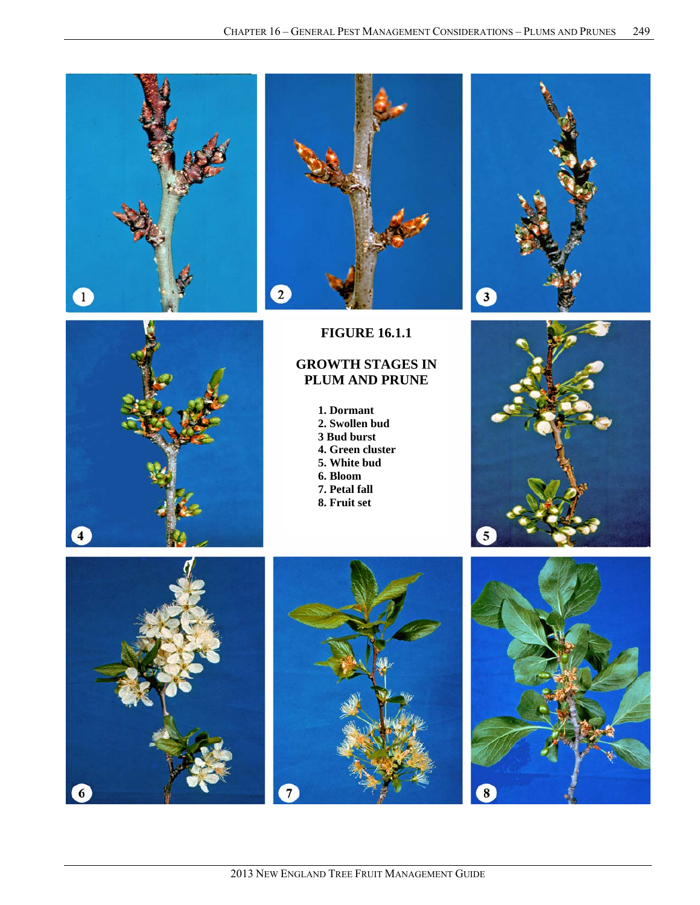







# **FIGURE 16.1.1**

# **GROWTH STAGES IN PLUM AND PRUNE**

- **1. Dormant 2. Swollen bud**
- **3 Bud burst**
- **4. Green cluster**
- **5. White bud**
- **6. Bloom**
- **7. Petal fall**
- **8. Fruit set**







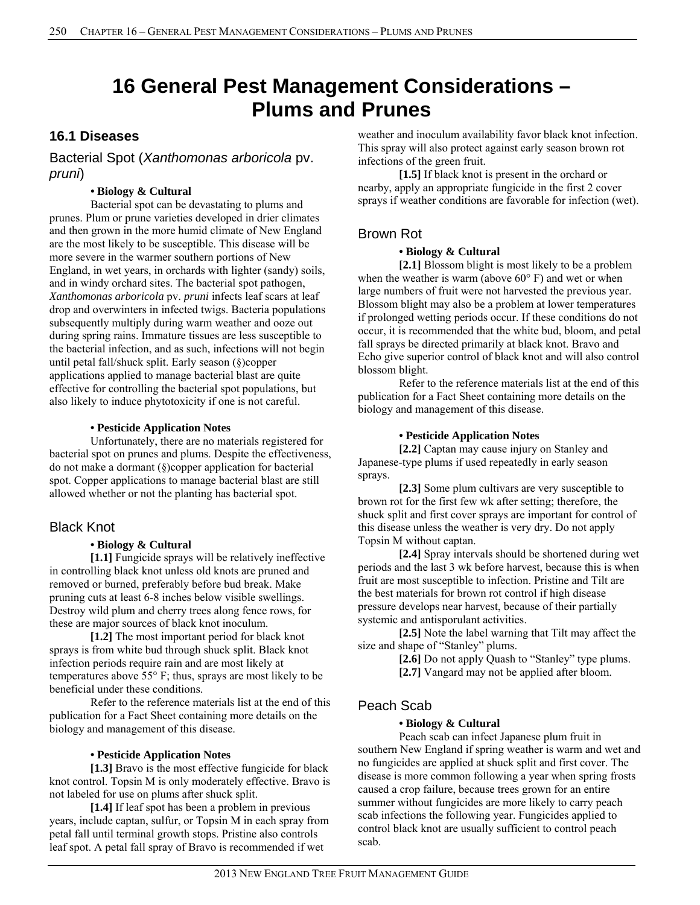# **16 General Pest Management Considerations – Plums and Prunes**

# **16.1 Diseases**

Bacterial Spot (*Xanthomonas arboricola* pv. *pruni*)

### **• Biology & Cultural**

Bacterial spot can be devastating to plums and prunes. Plum or prune varieties developed in drier climates and then grown in the more humid climate of New England are the most likely to be susceptible. This disease will be more severe in the warmer southern portions of New England, in wet years, in orchards with lighter (sandy) soils, and in windy orchard sites. The bacterial spot pathogen, *Xanthomonas arboricola* pv. *pruni* infects leaf scars at leaf drop and overwinters in infected twigs. Bacteria populations subsequently multiply during warm weather and ooze out during spring rains. Immature tissues are less susceptible to the bacterial infection, and as such, infections will not begin until petal fall/shuck split. Early season (§)copper applications applied to manage bacterial blast are quite effective for controlling the bacterial spot populations, but also likely to induce phytotoxicity if one is not careful.

#### **• Pesticide Application Notes**

Unfortunately, there are no materials registered for bacterial spot on prunes and plums. Despite the effectiveness, do not make a dormant (§)copper application for bacterial spot. Copper applications to manage bacterial blast are still allowed whether or not the planting has bacterial spot.

### Black Knot

#### **• Biology & Cultural**

 **[1.1]** Fungicide sprays will be relatively ineffective in controlling black knot unless old knots are pruned and removed or burned, preferably before bud break. Make pruning cuts at least 6-8 inches below visible swellings. Destroy wild plum and cherry trees along fence rows, for these are major sources of black knot inoculum.

 **[1.2]** The most important period for black knot sprays is from white bud through shuck split. Black knot infection periods require rain and are most likely at temperatures above 55° F; thus, sprays are most likely to be beneficial under these conditions.

 Refer to the reference materials list at the end of this publication for a Fact Sheet containing more details on the biology and management of this disease.

#### **• Pesticide Application Notes**

 **[1.3]** Bravo is the most effective fungicide for black knot control. Topsin M is only moderately effective. Bravo is not labeled for use on plums after shuck split.

 **[1.4]** If leaf spot has been a problem in previous years, include captan, sulfur, or Topsin M in each spray from petal fall until terminal growth stops. Pristine also controls leaf spot. A petal fall spray of Bravo is recommended if wet

weather and inoculum availability favor black knot infection. This spray will also protect against early season brown rot infections of the green fruit.

 **[1.5]** If black knot is present in the orchard or nearby, apply an appropriate fungicide in the first 2 cover sprays if weather conditions are favorable for infection (wet).

# Brown Rot

### **• Biology & Cultural**

 **[2.1]** Blossom blight is most likely to be a problem when the weather is warm (above  $60^{\circ}$  F) and wet or when large numbers of fruit were not harvested the previous year. Blossom blight may also be a problem at lower temperatures if prolonged wetting periods occur. If these conditions do not occur, it is recommended that the white bud, bloom, and petal fall sprays be directed primarily at black knot. Bravo and Echo give superior control of black knot and will also control blossom blight.

 Refer to the reference materials list at the end of this publication for a Fact Sheet containing more details on the biology and management of this disease.

#### **• Pesticide Application Notes**

 **[2.2]** Captan may cause injury on Stanley and Japanese-type plums if used repeatedly in early season sprays.

 **[2.3]** Some plum cultivars are very susceptible to brown rot for the first few wk after setting; therefore, the shuck split and first cover sprays are important for control of this disease unless the weather is very dry. Do not apply Topsin M without captan.

 **[2.4]** Spray intervals should be shortened during wet periods and the last 3 wk before harvest, because this is when fruit are most susceptible to infection. Pristine and Tilt are the best materials for brown rot control if high disease pressure develops near harvest, because of their partially systemic and antisporulant activities.

 **[2.5]** Note the label warning that Tilt may affect the size and shape of "Stanley" plums.

**[2.6]** Do not apply Quash to "Stanley" type plums. **[2.7]** Vangard may not be applied after bloom.

# Peach Scab

#### **• Biology & Cultural**

 Peach scab can infect Japanese plum fruit in southern New England if spring weather is warm and wet and no fungicides are applied at shuck split and first cover. The disease is more common following a year when spring frosts caused a crop failure, because trees grown for an entire summer without fungicides are more likely to carry peach scab infections the following year. Fungicides applied to control black knot are usually sufficient to control peach scab.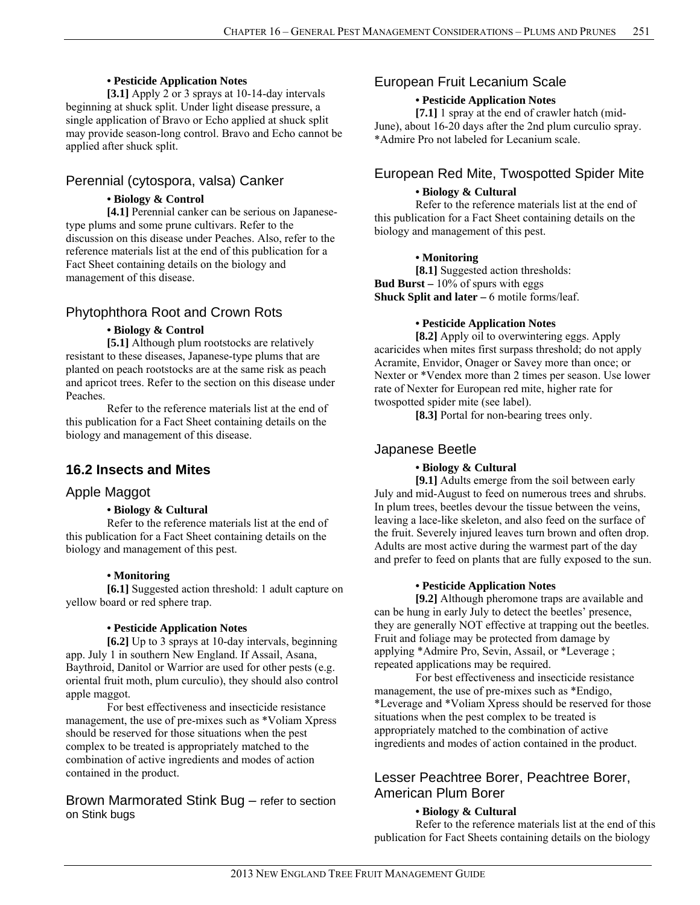#### **• Pesticide Application Notes**

 **[3.1]** Apply 2 or 3 sprays at 10-14-day intervals beginning at shuck split. Under light disease pressure, a single application of Bravo or Echo applied at shuck split may provide season-long control. Bravo and Echo cannot be applied after shuck split.

### Perennial (cytospora, valsa) Canker

#### **• Biology & Control**

 **[4.1]** Perennial canker can be serious on Japanesetype plums and some prune cultivars. Refer to the discussion on this disease under Peaches. Also, refer to the reference materials list at the end of this publication for a Fact Sheet containing details on the biology and management of this disease.

### Phytophthora Root and Crown Rots

#### **• Biology & Control**

 **[5.1]** Although plum rootstocks are relatively resistant to these diseases, Japanese-type plums that are planted on peach rootstocks are at the same risk as peach and apricot trees. Refer to the section on this disease under Peaches.

 Refer to the reference materials list at the end of this publication for a Fact Sheet containing details on the biology and management of this disease.

#### **16.2 Insects and Mites**

### Apple Maggot

#### **• Biology & Cultural**

Refer to the reference materials list at the end of this publication for a Fact Sheet containing details on the biology and management of this pest.

#### **• Monitoring**

 **[6.1]** Suggested action threshold: 1 adult capture on yellow board or red sphere trap.

#### **• Pesticide Application Notes**

**[6.2]** Up to 3 sprays at 10-day intervals, beginning app. July 1 in southern New England. If Assail, Asana, Baythroid, Danitol or Warrior are used for other pests (e.g. oriental fruit moth, plum curculio), they should also control apple maggot.

 For best effectiveness and insecticide resistance management, the use of pre-mixes such as \*Voliam Xpress should be reserved for those situations when the pest complex to be treated is appropriately matched to the combination of active ingredients and modes of action contained in the product.

### Brown Marmorated Stink Bug – refer to section on Stink bugs

### European Fruit Lecanium Scale

#### **• Pesticide Application Notes**

**[7.1]** 1 spray at the end of crawler hatch (mid-June), about 16-20 days after the 2nd plum curculio spray. \*Admire Pro not labeled for Lecanium scale.

# European Red Mite, Twospotted Spider Mite

### **• Biology & Cultural**

 Refer to the reference materials list at the end of this publication for a Fact Sheet containing details on the biology and management of this pest.

#### **• Monitoring**

 **[8.1]** Suggested action thresholds: **Bud Burst –** 10% of spurs with eggs **Shuck Split and later –** 6 motile forms/leaf.

#### **• Pesticide Application Notes**

 **[8.2]** Apply oil to overwintering eggs. Apply acaricides when mites first surpass threshold; do not apply Acramite, Envidor, Onager or Savey more than once; or Nexter or \*Vendex more than 2 times per season. Use lower rate of Nexter for European red mite, higher rate for twospotted spider mite (see label).

[8.3] Portal for non-bearing trees only.

#### Japanese Beetle

#### **• Biology & Cultural**

 **[9.1]** Adults emerge from the soil between early July and mid-August to feed on numerous trees and shrubs. In plum trees, beetles devour the tissue between the veins, leaving a lace-like skeleton, and also feed on the surface of the fruit. Severely injured leaves turn brown and often drop. Adults are most active during the warmest part of the day and prefer to feed on plants that are fully exposed to the sun.

#### **• Pesticide Application Notes**

**[9.2]** Although pheromone traps are available and can be hung in early July to detect the beetles' presence, they are generally NOT effective at trapping out the beetles. Fruit and foliage may be protected from damage by applying \*Admire Pro, Sevin, Assail, or \*Leverage ; repeated applications may be required.

For best effectiveness and insecticide resistance management, the use of pre-mixes such as \*Endigo, \*Leverage and \*Voliam Xpress should be reserved for those situations when the pest complex to be treated is appropriately matched to the combination of active ingredients and modes of action contained in the product.

# Lesser Peachtree Borer, Peachtree Borer, American Plum Borer

#### **• Biology & Cultural**

 Refer to the reference materials list at the end of this publication for Fact Sheets containing details on the biology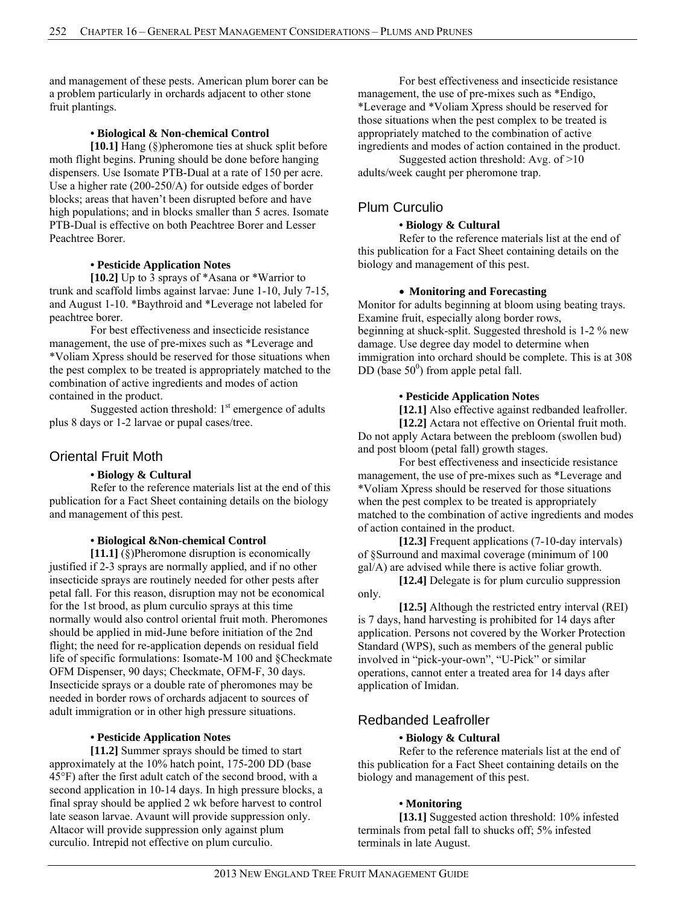and management of these pests. American plum borer can be a problem particularly in orchards adjacent to other stone fruit plantings.

#### **• Biological & Non-chemical Control**

 **[10.1]** Hang (§)pheromone ties at shuck split before moth flight begins. Pruning should be done before hanging dispensers. Use Isomate PTB-Dual at a rate of 150 per acre. Use a higher rate (200-250/A) for outside edges of border blocks; areas that haven't been disrupted before and have high populations; and in blocks smaller than 5 acres. Isomate PTB-Dual is effective on both Peachtree Borer and Lesser Peachtree Borer.

#### **• Pesticide Application Notes**

**[10.2]** Up to 3 sprays of \*Asana or \*Warrior to trunk and scaffold limbs against larvae: June 1-10, July 7-15, and August 1-10. \*Baythroid and \*Leverage not labeled for peachtree borer.

For best effectiveness and insecticide resistance management, the use of pre-mixes such as \*Leverage and \*Voliam Xpress should be reserved for those situations when the pest complex to be treated is appropriately matched to the combination of active ingredients and modes of action contained in the product.

Suggested action threshold:  $1<sup>st</sup>$  emergence of adults plus 8 days or 1-2 larvae or pupal cases/tree.

### Oriental Fruit Moth

#### **• Biology & Cultural**

 Refer to the reference materials list at the end of this publication for a Fact Sheet containing details on the biology and management of this pest.

#### **• Biological &Non-chemical Control**

 **[11.1]** (§)Pheromone disruption is economically justified if 2-3 sprays are normally applied, and if no other insecticide sprays are routinely needed for other pests after petal fall. For this reason, disruption may not be economical for the 1st brood, as plum curculio sprays at this time normally would also control oriental fruit moth. Pheromones should be applied in mid-June before initiation of the 2nd flight; the need for re-application depends on residual field life of specific formulations: Isomate-M 100 and §Checkmate OFM Dispenser, 90 days; Checkmate, OFM-F, 30 days. Insecticide sprays or a double rate of pheromones may be needed in border rows of orchards adjacent to sources of adult immigration or in other high pressure situations.

### **• Pesticide Application Notes**

 **[11.2]** Summer sprays should be timed to start approximately at the 10% hatch point, 175-200 DD (base 45°F) after the first adult catch of the second brood, with a second application in 10-14 days. In high pressure blocks, a final spray should be applied 2 wk before harvest to control late season larvae. Avaunt will provide suppression only. Altacor will provide suppression only against plum curculio. Intrepid not effective on plum curculio.

For best effectiveness and insecticide resistance management, the use of pre-mixes such as \*Endigo, \*Leverage and \*Voliam Xpress should be reserved for those situations when the pest complex to be treated is appropriately matched to the combination of active ingredients and modes of action contained in the product.

Suggested action threshold: Avg. of >10 adults/week caught per pheromone trap.

# Plum Curculio

#### **• Biology & Cultural**

 Refer to the reference materials list at the end of this publication for a Fact Sheet containing details on the biology and management of this pest.

#### **Monitoring and Forecasting**

Monitor for adults beginning at bloom using beating trays. Examine fruit, especially along border rows, beginning at shuck-split. Suggested threshold is 1-2 % new damage. Use degree day model to determine when immigration into orchard should be complete. This is at 308 DD (base  $50^0$ ) from apple petal fall.

#### **• Pesticide Application Notes**

[12.1] Also effective against redbanded leafroller.

**[12.2]** Actara not effective on Oriental fruit moth. Do not apply Actara between the prebloom (swollen bud) and post bloom (petal fall) growth stages.

For best effectiveness and insecticide resistance management, the use of pre-mixes such as \*Leverage and \*Voliam Xpress should be reserved for those situations when the pest complex to be treated is appropriately matched to the combination of active ingredients and modes of action contained in the product.

 **[12.3]** Frequent applications (7-10-day intervals) of §Surround and maximal coverage (minimum of 100 gal/A) are advised while there is active foliar growth.

**[12.4]** Delegate is for plum curculio suppression only.

**[12.5]** Although the restricted entry interval (REI) is 7 days, hand harvesting is prohibited for 14 days after application. Persons not covered by the Worker Protection Standard (WPS), such as members of the general public involved in "pick-your-own", "U-Pick" or similar operations, cannot enter a treated area for 14 days after application of Imidan.

### Redbanded Leafroller

#### **• Biology & Cultural**

 Refer to the reference materials list at the end of this publication for a Fact Sheet containing details on the biology and management of this pest.

### **• Monitoring**

 **[13.1]** Suggested action threshold: 10% infested terminals from petal fall to shucks off; 5% infested terminals in late August.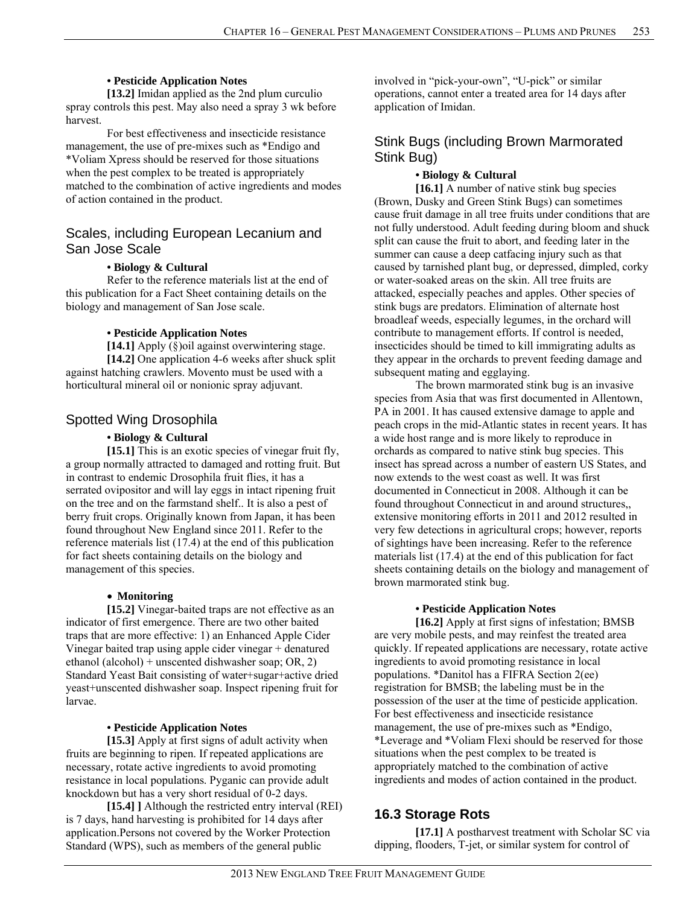### **• Pesticide Application Notes**

**[13.2]** Imidan applied as the 2nd plum curculio spray controls this pest. May also need a spray 3 wk before harvest.

 For best effectiveness and insecticide resistance management, the use of pre-mixes such as \*Endigo and \*Voliam Xpress should be reserved for those situations when the pest complex to be treated is appropriately matched to the combination of active ingredients and modes of action contained in the product.

# Scales, including European Lecanium and San Jose Scale

#### **• Biology & Cultural**

 Refer to the reference materials list at the end of this publication for a Fact Sheet containing details on the biology and management of San Jose scale.

#### **• Pesticide Application Notes**

**[14.1]** Apply (§)oil against overwintering stage. **[14.2]** One application 4-6 weeks after shuck split against hatching crawlers. Movento must be used with a horticultural mineral oil or nonionic spray adjuvant.

# Spotted Wing Drosophila

### **• Biology & Cultural**

**[15.1]** This is an exotic species of vinegar fruit fly, a group normally attracted to damaged and rotting fruit. But in contrast to endemic Drosophila fruit flies, it has a serrated ovipositor and will lay eggs in intact ripening fruit on the tree and on the farmstand shelf.. It is also a pest of berry fruit crops. Originally known from Japan, it has been found throughout New England since 2011. Refer to the reference materials list (17.4) at the end of this publication for fact sheets containing details on the biology and management of this species.

#### **Monitoring**

**[15.2]** Vinegar-baited traps are not effective as an indicator of first emergence. There are two other baited traps that are more effective: 1) an Enhanced Apple Cider Vinegar baited trap using apple cider vinegar + denatured ethanol (alcohol) + unscented dishwasher soap; OR, 2) Standard Yeast Bait consisting of water+sugar+active dried yeast+unscented dishwasher soap. Inspect ripening fruit for larvae.

#### **• Pesticide Application Notes**

**[15.3]** Apply at first signs of adult activity when fruits are beginning to ripen. If repeated applications are necessary, rotate active ingredients to avoid promoting resistance in local populations. Pyganic can provide adult knockdown but has a very short residual of 0-2 days.

**[15.4] ]** Although the restricted entry interval (REI) is 7 days, hand harvesting is prohibited for 14 days after application.Persons not covered by the Worker Protection Standard (WPS), such as members of the general public

involved in "pick-your-own", "U-pick" or similar operations, cannot enter a treated area for 14 days after application of Imidan.

# Stink Bugs (including Brown Marmorated Stink Bug)

### **• Biology & Cultural**

**[16.1]** A number of native stink bug species (Brown, Dusky and Green Stink Bugs) can sometimes cause fruit damage in all tree fruits under conditions that are not fully understood. Adult feeding during bloom and shuck split can cause the fruit to abort, and feeding later in the summer can cause a deep catfacing injury such as that caused by tarnished plant bug, or depressed, dimpled, corky or water-soaked areas on the skin. All tree fruits are attacked, especially peaches and apples. Other species of stink bugs are predators. Elimination of alternate host broadleaf weeds, especially legumes, in the orchard will contribute to management efforts. If control is needed, insecticides should be timed to kill immigrating adults as they appear in the orchards to prevent feeding damage and subsequent mating and egglaying.

 The brown marmorated stink bug is an invasive species from Asia that was first documented in Allentown, PA in 2001. It has caused extensive damage to apple and peach crops in the mid-Atlantic states in recent years. It has a wide host range and is more likely to reproduce in orchards as compared to native stink bug species. This insect has spread across a number of eastern US States, and now extends to the west coast as well. It was first documented in Connecticut in 2008. Although it can be found throughout Connecticut in and around structures,, extensive monitoring efforts in 2011 and 2012 resulted in very few detections in agricultural crops; however, reports of sightings have been increasing. Refer to the reference materials list (17.4) at the end of this publication for fact sheets containing details on the biology and management of brown marmorated stink bug.

### **• Pesticide Application Notes**

**[16.2]** Apply at first signs of infestation; BMSB are very mobile pests, and may reinfest the treated area quickly. If repeated applications are necessary, rotate active ingredients to avoid promoting resistance in local populations. \*Danitol has a FIFRA Section 2(ee) registration for BMSB; the labeling must be in the possession of the user at the time of pesticide application. For best effectiveness and insecticide resistance management, the use of pre-mixes such as \*Endigo, \*Leverage and \*Voliam Flexi should be reserved for those situations when the pest complex to be treated is appropriately matched to the combination of active ingredients and modes of action contained in the product.

# **16.3 Storage Rots**

**[17.1]** A postharvest treatment with Scholar SC via dipping, flooders, T-jet, or similar system for control of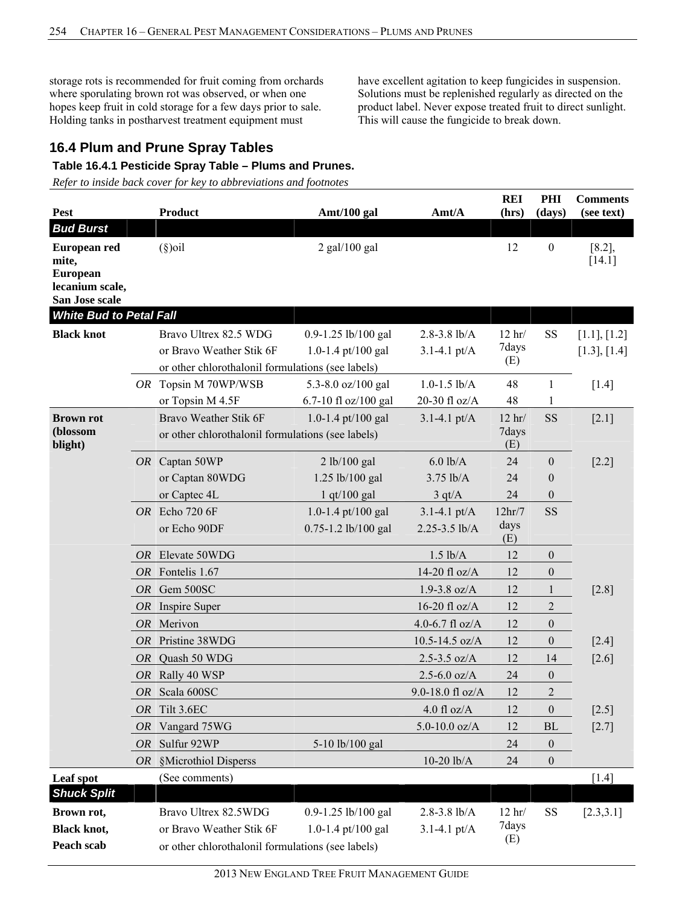storage rots is recommended for fruit coming from orchards where sporulating brown rot was observed, or when one hopes keep fruit in cold storage for a few days prior to sale. Holding tanks in postharvest treatment equipment must

have excellent agitation to keep fungicides in suspension. Solutions must be replenished regularly as directed on the product label. Never expose treated fruit to direct sunlight. This will cause the fungicide to break down.

# **16.4 Plum and Prune Spray Tables**

### **Table 16.4.1 Pesticide Spray Table – Plums and Prunes.**

*Refer to inside back cover for key to abbreviations and footnotes*

| <b>Pest</b>                                                                   |    | <b>Product</b>                                                                                         |                                           | Amt/A                                | <b>REI</b>               | PHI              | <b>Comments</b>              |
|-------------------------------------------------------------------------------|----|--------------------------------------------------------------------------------------------------------|-------------------------------------------|--------------------------------------|--------------------------|------------------|------------------------------|
| <b>Bud Burst</b>                                                              |    |                                                                                                        | Amt/100 gal                               |                                      | (hrs)                    | (days)           | (see text)                   |
| European red<br>mite,<br><b>European</b><br>lecanium scale,<br>San Jose scale |    | $(\S)$ oil                                                                                             | $2$ gal/100 gal                           |                                      | 12                       | $\boldsymbol{0}$ | $[8.2]$ ,<br>$[14.1]$        |
| <b>White Bud to Petal Fall</b>                                                |    |                                                                                                        |                                           |                                      |                          |                  |                              |
| <b>Black knot</b>                                                             |    | Bravo Ultrex 82.5 WDG<br>or Bravo Weather Stik 6F<br>or other chlorothalonil formulations (see labels) | 0.9-1.25 lb/100 gal<br>1.0-1.4 pt/100 gal | $2.8 - 3.8$ lb/A<br>$3.1 - 4.1$ pt/A | $12$ hr/<br>7days<br>(E) | <b>SS</b>        | [1.1], [1.2]<br>[1.3], [1.4] |
|                                                                               |    | OR Topsin M 70WP/WSB                                                                                   | 5.3-8.0 oz/100 gal                        | $1.0 - 1.5$ lb/A                     | 48                       | $\mathbf{1}$     | $[1.4]$                      |
|                                                                               |    | or Topsin M 4.5F                                                                                       | 6.7-10 fl oz/100 gal                      | 20-30 fl oz/A                        | 48                       | 1                |                              |
| <b>Brown rot</b><br>(blossom<br>blight)                                       |    | Bravo Weather Stik 6F<br>or other chlorothalonil formulations (see labels)                             | 1.0-1.4 pt/100 gal                        | $3.1 - 4.1 \text{ pt/A}$             | $12$ hr/<br>7days<br>(E) | <b>SS</b>        | $[2.1]$                      |
|                                                                               |    | OR Captan 50WP                                                                                         | 2 lb/100 gal                              | $6.0$ lb/A                           | 24                       | $\boldsymbol{0}$ | $[2.2]$                      |
|                                                                               |    | or Captan 80WDG                                                                                        | 1.25 lb/100 gal                           | $3.75$ lb/A                          | 24                       | $\boldsymbol{0}$ |                              |
|                                                                               |    | or Captec 4L                                                                                           | 1 qt/100 gal                              | 3 q t/A                              | 24                       | $\boldsymbol{0}$ |                              |
|                                                                               |    | $OR$ Echo 720 6F                                                                                       | 1.0-1.4 pt/100 gal                        | $3.1 - 4.1 \text{ pt/A}$             | 12hr/7                   | <b>SS</b>        |                              |
|                                                                               |    | or Echo 90DF                                                                                           | 0.75-1.2 lb/100 gal                       | 2.25-3.5 lb/A                        | days<br>(E)              |                  |                              |
|                                                                               |    | OR Elevate 50WDG                                                                                       |                                           | $1.5$ lb/A                           | 12                       | $\boldsymbol{0}$ |                              |
|                                                                               |    | OR Fontelis 1.67                                                                                       |                                           | 14-20 fl oz/A                        | 12                       | $\boldsymbol{0}$ |                              |
|                                                                               |    | OR Gem 500SC                                                                                           |                                           | $1.9 - 3.8$ oz/A                     | 12                       | 1                | $[2.8]$                      |
|                                                                               | OR | Inspire Super                                                                                          |                                           | 16-20 fl oz/A                        | 12                       | $\overline{c}$   |                              |
|                                                                               |    | OR Merivon                                                                                             |                                           | 4.0-6.7 fl $oz/A$                    | 12                       | $\boldsymbol{0}$ |                              |
|                                                                               |    | OR Pristine 38WDG                                                                                      |                                           | $10.5 - 14.5$ oz/A                   | 12                       | $\boldsymbol{0}$ | $[2.4]$                      |
|                                                                               |    | OR Quash 50 WDG                                                                                        |                                           | $2.5 - 3.5$ oz/A                     | 12                       | 14               | $[2.6]$                      |
|                                                                               |    | OR Rally 40 WSP                                                                                        |                                           | $2.5 - 6.0$ oz/A                     | 24                       | $\boldsymbol{0}$ |                              |
|                                                                               |    | OR Scala 600SC                                                                                         |                                           | 9.0-18.0 fl oz/A                     | 12                       | $\overline{2}$   |                              |
|                                                                               | OR | Tilt 3.6EC                                                                                             |                                           | $4.0$ fl oz/A $\,$                   | 12                       | $\overline{0}$   | $[2.5]$                      |
|                                                                               | OR | Vangard 75WG                                                                                           |                                           | $5.0 - 10.0$ oz/A                    | 12                       | BL               | $[2.7]$                      |
|                                                                               | OR | Sulfur 92WP                                                                                            | 5-10 lb/100 gal                           |                                      | 24                       | $\boldsymbol{0}$ |                              |
|                                                                               |    | OR §Microthiol Disperss                                                                                |                                           | $10-20$ $lb/A$                       | 24                       | $\boldsymbol{0}$ |                              |
| Leaf spot                                                                     |    | (See comments)                                                                                         |                                           |                                      |                          |                  | $[1.4]$                      |
| <b>Shuck Split</b>                                                            |    |                                                                                                        |                                           |                                      |                          |                  |                              |
| Brown rot,                                                                    |    | Bravo Ultrex 82.5WDG                                                                                   | 0.9-1.25 lb/100 gal                       | $2.8 - 3.8$ lb/A                     | $12$ hr/                 | SS               | [2.3,3.1]                    |
| <b>Black knot,</b>                                                            |    | or Bravo Weather Stik 6F                                                                               | 1.0-1.4 pt/100 gal                        | 3.1-4.1 $pt/A$                       | 7days                    |                  |                              |
| Peach scab                                                                    |    | or other chlorothalonil formulations (see labels)                                                      |                                           |                                      | (E)                      |                  |                              |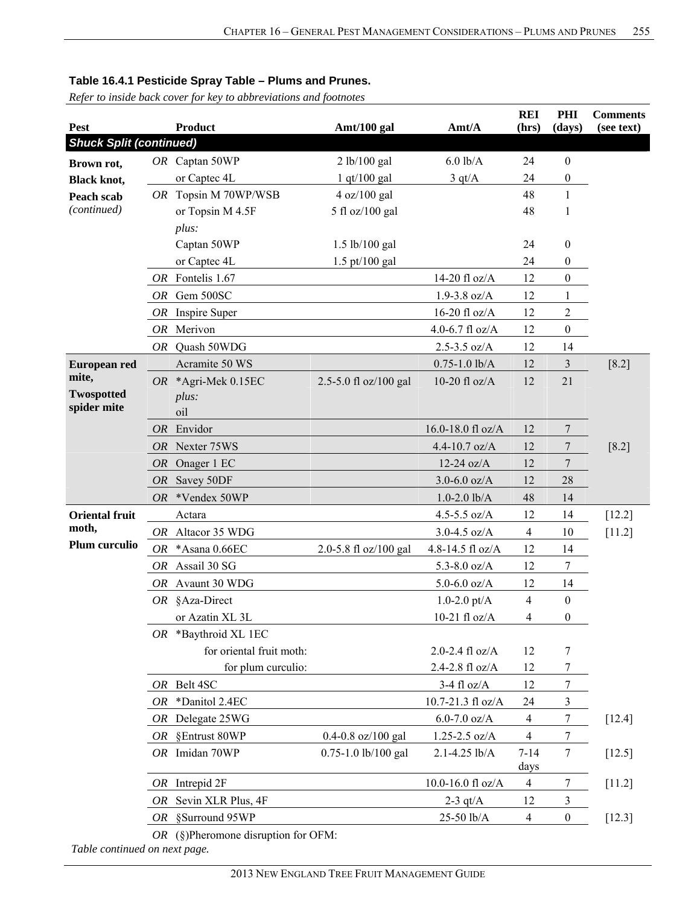*Refer to inside back cover for key to abbreviations and footnotes*

| Pest                           |           | <b>Product</b>                          | Amt/100 gal             | Amt/A               | <b>REI</b><br>(hrs) | <b>PHI</b><br>(days) | <b>Comments</b><br>(see text) |
|--------------------------------|-----------|-----------------------------------------|-------------------------|---------------------|---------------------|----------------------|-------------------------------|
| <b>Shuck Split (continued)</b> |           |                                         |                         |                     |                     |                      |                               |
| Brown rot,                     |           | OR Captan 50WP                          | 2 lb/100 gal            | $6.0$ lb/A          | 24                  | $\boldsymbol{0}$     |                               |
| <b>Black knot,</b>             |           | or Captec 4L                            | $1$ qt/ $100$ gal       | 3 qt/A              | 24                  | $\boldsymbol{0}$     |                               |
| Peach scab                     |           | OR Topsin M 70WP/WSB                    | 4 oz/100 gal            |                     | 48                  | $\mathbf{1}$         |                               |
| (continued)                    |           | or Topsin M 4.5F                        | 5 fl oz/100 gal         |                     | 48                  | 1                    |                               |
|                                |           | plus:                                   |                         |                     |                     |                      |                               |
|                                |           | Captan 50WP                             | 1.5 lb/100 gal          |                     | 24                  | $\boldsymbol{0}$     |                               |
|                                |           | or Captec 4L                            | $1.5$ pt/100 gal        |                     | 24                  | $\boldsymbol{0}$     |                               |
|                                |           | OR Fontelis 1.67                        |                         | 14-20 fl oz/A       | 12                  | $\boldsymbol{0}$     |                               |
|                                |           | OR Gem 500SC                            |                         | $1.9 - 3.8$ oz/A    | 12                  | 1                    |                               |
|                                |           | OR Inspire Super                        |                         | 16-20 fl oz/ $A$    | 12                  | $\sqrt{2}$           |                               |
|                                | OR        | Merivon                                 |                         | 4.0-6.7 $fl$ oz/A   | 12                  | $\boldsymbol{0}$     |                               |
|                                |           | OR Quash 50WDG                          |                         | $2.5 - 3.5$ oz/A    | 12                  | 14                   |                               |
| European red                   |           | Acramite 50 WS                          |                         | $0.75 - 1.0$ lb/A   | 12                  | $\mathfrak{Z}$       | $[8.2]$                       |
| mite,                          |           | OR *Agri-Mek 0.15EC                     | 2.5-5.0 fl oz/100 gal   | 10-20 fl $oz/A$     | 12                  | 21                   |                               |
| <b>Twospotted</b>              |           | plus:                                   |                         |                     |                     |                      |                               |
| spider mite                    |           | oil                                     |                         |                     |                     |                      |                               |
|                                |           | OR Envidor                              |                         | 16.0-18.0 fl oz/A   | 12                  | $\overline{7}$       |                               |
|                                |           | OR Nexter 75WS                          |                         | 4.4-10.7 $oz/A$     | 12                  | $\tau$               | $[8.2]$                       |
|                                |           | OR Onager 1 EC                          |                         | $12-24$ oz/A        | 12                  | $\overline{7}$       |                               |
|                                | <i>OR</i> | Savey 50DF                              |                         | $3.0 - 6.0$ oz/A    | 12                  | 28                   |                               |
|                                |           | OR *Vendex 50WP                         |                         | $1.0 - 2.0$ lb/A    | 48                  | 14                   |                               |
| <b>Oriental fruit</b>          |           | Actara                                  |                         | 4.5-5.5 oz/A        | 12                  | 14                   | $[12.2]$                      |
| moth,                          |           | OR Altacor 35 WDG                       |                         | $3.0 - 4.5$ oz/A    | $\overline{4}$      | 10                   | $[11.2]$                      |
| Plum curculio                  | OR        | *Asana 0.66EC                           | 2.0-5.8 fl oz/100 gal   | 4.8-14.5 fl oz/A    | 12                  | 14                   |                               |
|                                |           | OR Assail 30 SG                         |                         | 5.3-8.0 $oz/A$      | 12                  | $\boldsymbol{7}$     |                               |
|                                | OR        | Avaunt 30 WDG                           |                         | $5.0 - 6.0$ oz/A    | 12                  | 14                   |                               |
|                                |           | OR §Aza-Direct                          |                         | 1.0-2.0 $pt/A$      | $\overline{4}$      | $\boldsymbol{0}$     |                               |
|                                |           | or Azatin XL 3L                         |                         | 10-21 fl $oz/A$     | 4                   | $\boldsymbol{0}$     |                               |
|                                |           | OR *Baythroid XL 1EC                    |                         |                     |                     |                      |                               |
|                                |           | for oriental fruit moth:                |                         | 2.0-2.4 $fl$ oz/A   | 12                  | 7                    |                               |
|                                |           | for plum curculio:                      |                         | 2.4-2.8 fl oz/A     | 12                  | 7                    |                               |
|                                |           | OR Belt 4SC                             |                         | $3-4$ fl oz/A       | 12                  | $\boldsymbol{7}$     |                               |
|                                | OR        | *Danitol 2.4EC                          |                         | 10.7-21.3 fl oz/A   | 24                  | $\mathfrak{Z}$       |                               |
|                                | OR        | Delegate 25WG                           |                         | $6.0 - 7.0$ oz/A    | $\overline{4}$      | $\tau$               | [12.4]                        |
|                                | OR        | §Entrust 80WP                           | $0.4 - 0.8$ oz/100 gal  | $1.25 - 2.5$ oz/A   | $\overline{4}$      | $\tau$               |                               |
|                                |           | OR Imidan 70WP                          | $0.75 - 1.0$ lb/100 gal | 2.1-4.25 lb/A       | $7 - 14$            | $\tau$               | $[12.5]$                      |
|                                |           |                                         |                         |                     | days                |                      |                               |
|                                |           | $OR$ Intrepid $2F$                      |                         | 10.0-16.0 fl $oz/A$ | $\overline{4}$      | 7                    | $[11.2]$                      |
|                                | OR        | Sevin XLR Plus, 4F                      |                         | $2-3$ qt/A          | 12                  | $\mathfrak{Z}$       |                               |
|                                |           | OR §Surround 95WP                       |                         | 25-50 lb/A          | $\overline{4}$      | $\mathbf{0}$         | $[12.3]$                      |
|                                |           | OR $(\S)$ Pheromone disruption for OFM: |                         |                     |                     |                      |                               |

*Table continued on next page.*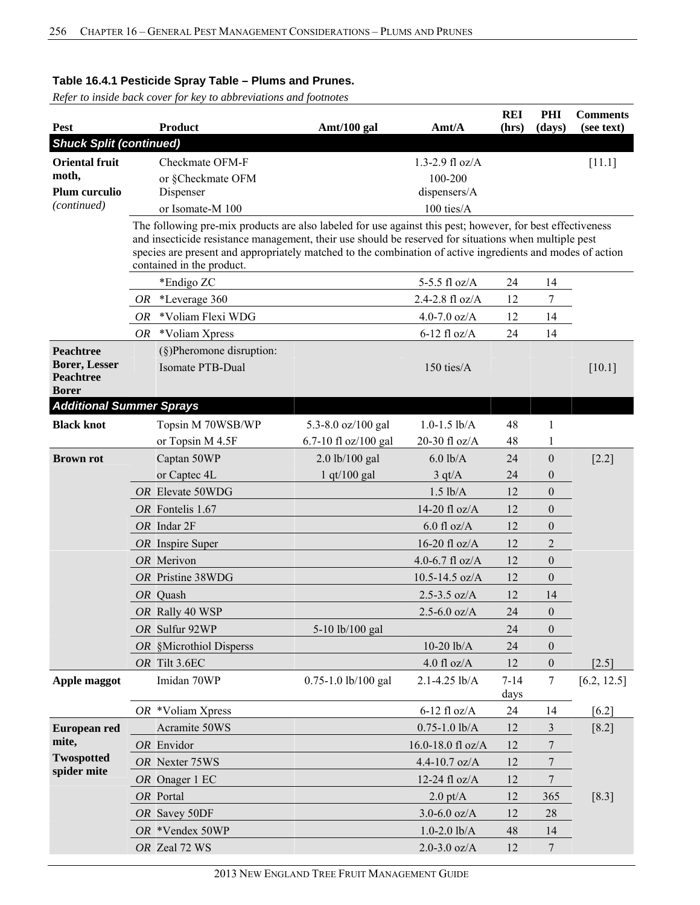*Refer to inside back cover for key to abbreviations and footnotes*

| Pest                                                                         |    | <b>Product</b>                                                                                                                                                                                                                                                                                                                                                 | Amt/100 gal          | Amt/A              | <b>REI</b><br>(hrs) | PHI<br>(days)    | <b>Comments</b><br>(see text) |
|------------------------------------------------------------------------------|----|----------------------------------------------------------------------------------------------------------------------------------------------------------------------------------------------------------------------------------------------------------------------------------------------------------------------------------------------------------------|----------------------|--------------------|---------------------|------------------|-------------------------------|
| <b>Shuck Split (continued)</b>                                               |    |                                                                                                                                                                                                                                                                                                                                                                |                      |                    |                     |                  |                               |
| <b>Oriental fruit</b>                                                        |    | Checkmate OFM-F                                                                                                                                                                                                                                                                                                                                                |                      | 1.3-2.9 $fl$ oz/A  |                     |                  | [11.1]                        |
| moth,                                                                        |    | or §Checkmate OFM                                                                                                                                                                                                                                                                                                                                              | 100-200              |                    |                     |                  |                               |
| Plum curculio                                                                |    | Dispenser                                                                                                                                                                                                                                                                                                                                                      | dispensers/A         |                    |                     |                  |                               |
| (continued)                                                                  |    | or Isomate-M 100                                                                                                                                                                                                                                                                                                                                               |                      | 100 ties/A         |                     |                  |                               |
|                                                                              |    | The following pre-mix products are also labeled for use against this pest; however, for best effectiveness<br>and insecticide resistance management, their use should be reserved for situations when multiple pest<br>species are present and appropriately matched to the combination of active ingredients and modes of action<br>contained in the product. |                      |                    |                     |                  |                               |
|                                                                              |    | *Endigo ZC                                                                                                                                                                                                                                                                                                                                                     |                      | 5-5.5 fl $oz/A$    | 24                  | 14               |                               |
|                                                                              | OR | *Leverage 360                                                                                                                                                                                                                                                                                                                                                  |                      | 2.4-2.8 $fl$ oz/A  | 12                  | 7                |                               |
|                                                                              | OR | *Voliam Flexi WDG                                                                                                                                                                                                                                                                                                                                              |                      | 4.0-7.0 $oz/A$     | 12                  | 14               |                               |
|                                                                              | OR | *Voliam Xpress                                                                                                                                                                                                                                                                                                                                                 |                      | $6-12$ fl oz/A     | 24                  | 14               |                               |
| <b>Peachtree</b><br><b>Borer, Lesser</b><br><b>Peachtree</b><br><b>Borer</b> |    | $(\S)$ Pheromone disruption:<br>Isomate PTB-Dual                                                                                                                                                                                                                                                                                                               |                      | $150$ ties/ $A$    |                     |                  | [10.1]                        |
| <b>Additional Summer Sprays</b>                                              |    |                                                                                                                                                                                                                                                                                                                                                                |                      |                    |                     |                  |                               |
| <b>Black knot</b>                                                            |    | Topsin M 70WSB/WP                                                                                                                                                                                                                                                                                                                                              | 5.3-8.0 oz/100 gal   | $1.0 - 1.5$ lb/A   | 48                  | 1                |                               |
|                                                                              |    | or Topsin M 4.5F                                                                                                                                                                                                                                                                                                                                               | 6.7-10 fl oz/100 gal | 20-30 fl oz/A      | 48                  | 1                |                               |
| <b>Brown rot</b>                                                             |    | Captan 50WP                                                                                                                                                                                                                                                                                                                                                    | 2.0 lb/100 gal       | $6.0$ lb/A         | 24                  | $\boldsymbol{0}$ | $[2.2]$                       |
|                                                                              |    | or Captec 4L                                                                                                                                                                                                                                                                                                                                                   | $1$ qt/100 gal       | $3 \text{ qt/A}$   | 24                  | $\boldsymbol{0}$ |                               |
|                                                                              |    | OR Elevate 50WDG                                                                                                                                                                                                                                                                                                                                               |                      | $1.5$ lb/A         | 12                  | $\boldsymbol{0}$ |                               |
|                                                                              |    | OR Fontelis 1.67                                                                                                                                                                                                                                                                                                                                               |                      | 14-20 fl oz/A      | 12                  | $\theta$         |                               |
|                                                                              |    | OR Indar 2F                                                                                                                                                                                                                                                                                                                                                    |                      | $6.0$ fl oz/A      | 12                  | $\theta$         |                               |
|                                                                              |    | OR Inspire Super                                                                                                                                                                                                                                                                                                                                               |                      | 16-20 fl $oz/A$    | 12                  | $\overline{2}$   |                               |
|                                                                              |    | OR Merivon                                                                                                                                                                                                                                                                                                                                                     |                      | 4.0-6.7 fl $oz/A$  | 12                  | $\theta$         |                               |
|                                                                              |    | OR Pristine 38WDG                                                                                                                                                                                                                                                                                                                                              |                      | $10.5 - 14.5$ oz/A | 12                  | $\theta$         |                               |
|                                                                              |    | OR Quash                                                                                                                                                                                                                                                                                                                                                       |                      | $2.5 - 3.5$ oz/A   | 12                  | 14               |                               |
|                                                                              |    | OR Rally 40 WSP                                                                                                                                                                                                                                                                                                                                                |                      | $2.5 - 6.0$ oz/A   | 24                  | $\boldsymbol{0}$ |                               |
|                                                                              |    | OR Sulfur 92WP                                                                                                                                                                                                                                                                                                                                                 | 5-10 lb/100 gal      |                    | 24                  | $\boldsymbol{0}$ |                               |
|                                                                              |    | OR §Microthiol Disperss                                                                                                                                                                                                                                                                                                                                        |                      | $10-20$ $lb/A$     | 24                  | $\boldsymbol{0}$ |                               |
|                                                                              |    | OR Tilt 3.6EC                                                                                                                                                                                                                                                                                                                                                  |                      | $4.0$ fl oz/A      | 12                  | $\boldsymbol{0}$ | $[2.5]$                       |
| Apple maggot                                                                 |    | Imidan 70WP                                                                                                                                                                                                                                                                                                                                                    | 0.75-1.0 lb/100 gal  | 2.1-4.25 lb/A      | $7 - 14$<br>days    | $\overline{7}$   | [6.2, 12.5]                   |
|                                                                              |    | $OR$ *Voliam Xpress                                                                                                                                                                                                                                                                                                                                            |                      | $6-12$ fl oz/A     | 24                  | 14               | $[6.2]$                       |
| European red                                                                 |    | Acramite 50WS                                                                                                                                                                                                                                                                                                                                                  |                      | $0.75 - 1.0$ lb/A  | 12                  | 3                | $[8.2]$                       |
| mite,                                                                        |    | OR Envidor                                                                                                                                                                                                                                                                                                                                                     |                      | 16.0-18.0 fl oz/A  | 12                  | 7                |                               |
| <b>Twospotted</b><br>spider mite                                             |    | OR Nexter 75WS                                                                                                                                                                                                                                                                                                                                                 |                      | 4.4-10.7 oz/A      | 12                  | 7                |                               |
|                                                                              |    | OR Onager 1 EC                                                                                                                                                                                                                                                                                                                                                 |                      | 12-24 $f$ l oz/A   | 12                  | 7                |                               |
|                                                                              |    | OR Portal                                                                                                                                                                                                                                                                                                                                                      |                      | $2.0$ pt/A         | 12                  | 365              | $[8.3]$                       |
|                                                                              |    | OR Savey 50DF                                                                                                                                                                                                                                                                                                                                                  |                      | $3.0 - 6.0$ oz/A   | 12                  | 28               |                               |
|                                                                              |    | OR *Vendex 50WP                                                                                                                                                                                                                                                                                                                                                |                      | $1.0 - 2.0$ lb/A   | 48                  | 14               |                               |
|                                                                              |    | OR Zeal 72 WS                                                                                                                                                                                                                                                                                                                                                  |                      | $2.0 - 3.0$ oz/A   | 12                  | $\overline{7}$   |                               |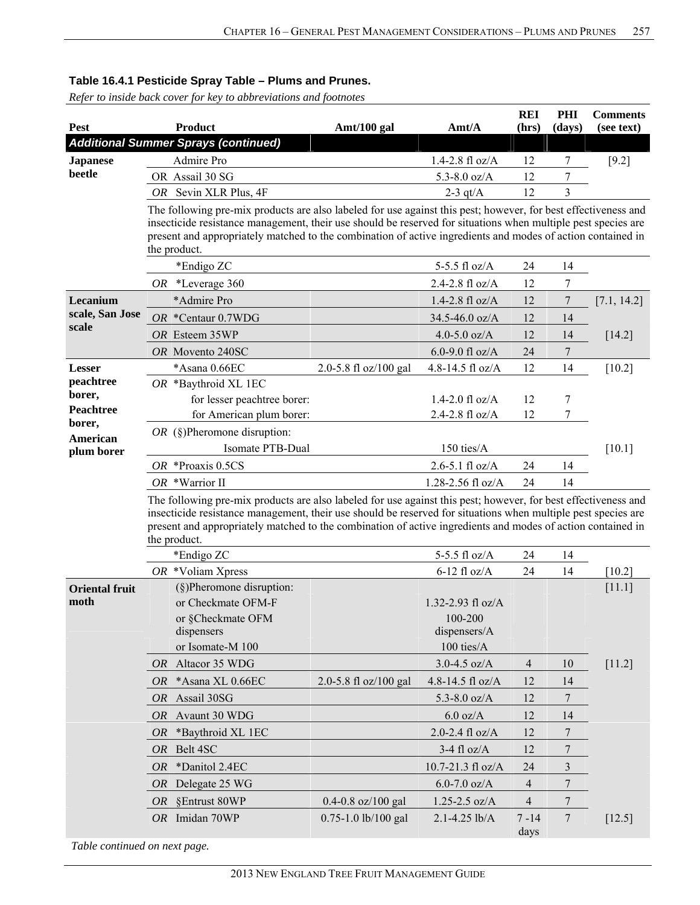*Refer to inside back cover for key to abbreviations and footnotes*

| Pest                          |                                                                                                                                                                                                                                                                                                                                                                | <b>Product</b>                                                                                                                                                                                                                                                                                                                                                 | Amt/100 gal            | $\text{A}$ mt/ $\text{A}$                                  | <b>REI</b><br>(hrs) | PHI<br>(days) | <b>Comments</b><br>(see text) |  |  |  |
|-------------------------------|----------------------------------------------------------------------------------------------------------------------------------------------------------------------------------------------------------------------------------------------------------------------------------------------------------------------------------------------------------------|----------------------------------------------------------------------------------------------------------------------------------------------------------------------------------------------------------------------------------------------------------------------------------------------------------------------------------------------------------------|------------------------|------------------------------------------------------------|---------------------|---------------|-------------------------------|--|--|--|
|                               |                                                                                                                                                                                                                                                                                                                                                                | <b>Additional Summer Sprays (continued)</b>                                                                                                                                                                                                                                                                                                                    |                        |                                                            |                     |               |                               |  |  |  |
| <b>Japanese</b>               |                                                                                                                                                                                                                                                                                                                                                                | Admire Pro                                                                                                                                                                                                                                                                                                                                                     |                        | $1.4 - 2.8$ fl oz/A                                        | 12                  | 7             | $[9.2]$                       |  |  |  |
| beetle                        |                                                                                                                                                                                                                                                                                                                                                                | OR Assail 30 SG                                                                                                                                                                                                                                                                                                                                                |                        | 5.3-8.0 $oz/A$                                             | 12                  | 7             |                               |  |  |  |
|                               |                                                                                                                                                                                                                                                                                                                                                                | OR Sevin XLR Plus, 4F                                                                                                                                                                                                                                                                                                                                          |                        | $2-3$ qt/A                                                 | 12                  | 3             |                               |  |  |  |
|                               |                                                                                                                                                                                                                                                                                                                                                                | The following pre-mix products are also labeled for use against this pest; however, for best effectiveness and<br>insecticide resistance management, their use should be reserved for situations when multiple pest species are<br>present and appropriately matched to the combination of active ingredients and modes of action contained in<br>the product. |                        |                                                            |                     |               |                               |  |  |  |
|                               |                                                                                                                                                                                                                                                                                                                                                                | *Endigo ZC                                                                                                                                                                                                                                                                                                                                                     |                        | 5-5.5 fl oz/A                                              | 24                  | 14            |                               |  |  |  |
|                               |                                                                                                                                                                                                                                                                                                                                                                | OR *Leverage 360                                                                                                                                                                                                                                                                                                                                               |                        | 2.4-2.8 fl oz/A                                            | 12                  | 7             |                               |  |  |  |
| Lecanium<br>scale, San Jose   |                                                                                                                                                                                                                                                                                                                                                                | *Admire Pro                                                                                                                                                                                                                                                                                                                                                    |                        | $1.4 - 2.8$ fl oz/A                                        | 12                  | 7             | [7.1, 14.2]                   |  |  |  |
| scale                         |                                                                                                                                                                                                                                                                                                                                                                | OR *Centaur $0.7WDG$                                                                                                                                                                                                                                                                                                                                           |                        | 34.5-46.0 oz/A                                             | 12                  | 14            |                               |  |  |  |
|                               |                                                                                                                                                                                                                                                                                                                                                                | OR Esteem 35WP                                                                                                                                                                                                                                                                                                                                                 |                        | 4.0-5.0 $oz/A$                                             | 12                  | 14            | $[14.2]$                      |  |  |  |
|                               |                                                                                                                                                                                                                                                                                                                                                                | OR Movento 240SC                                                                                                                                                                                                                                                                                                                                               |                        | 6.0-9.0 fl oz/A                                            | 24                  | 7             |                               |  |  |  |
| Lesser<br>peachtree           |                                                                                                                                                                                                                                                                                                                                                                | *Asana 0.66EC                                                                                                                                                                                                                                                                                                                                                  | 2.0-5.8 fl oz/100 gal  | 4.8-14.5 fl oz/A                                           | 12                  | 14            | $[10.2]$                      |  |  |  |
| borer,                        |                                                                                                                                                                                                                                                                                                                                                                | OR *Baythroid XL 1EC<br>for lesser peachtree borer:                                                                                                                                                                                                                                                                                                            |                        | $1.4 - 2.0$ fl oz/A                                        | 12                  | 7             |                               |  |  |  |
| Peachtree                     |                                                                                                                                                                                                                                                                                                                                                                | for American plum borer:                                                                                                                                                                                                                                                                                                                                       |                        | 2.4-2.8 fl oz/A                                            | 12                  | 7             |                               |  |  |  |
| borer,                        |                                                                                                                                                                                                                                                                                                                                                                | OR $(\S)$ Pheromone disruption:                                                                                                                                                                                                                                                                                                                                |                        |                                                            |                     |               |                               |  |  |  |
| American                      |                                                                                                                                                                                                                                                                                                                                                                | Isomate PTB-Dual                                                                                                                                                                                                                                                                                                                                               |                        | 150 ties/A                                                 |                     |               | [10.1]                        |  |  |  |
| plum borer                    |                                                                                                                                                                                                                                                                                                                                                                | OR *Proaxis 0.5CS                                                                                                                                                                                                                                                                                                                                              |                        | $2.6 - 5.1$ fl oz/A                                        | 24                  | 14            |                               |  |  |  |
|                               |                                                                                                                                                                                                                                                                                                                                                                | OR *Warrior II                                                                                                                                                                                                                                                                                                                                                 |                        | 1.28-2.56 fl oz/A                                          | 24                  | 14            |                               |  |  |  |
|                               | The following pre-mix products are also labeled for use against this pest; however, for best effectiveness and<br>insecticide resistance management, their use should be reserved for situations when multiple pest species are<br>present and appropriately matched to the combination of active ingredients and modes of action contained in<br>the product. |                                                                                                                                                                                                                                                                                                                                                                |                        |                                                            |                     |               |                               |  |  |  |
|                               |                                                                                                                                                                                                                                                                                                                                                                | *Endigo ZC                                                                                                                                                                                                                                                                                                                                                     |                        | 5-5.5 fl oz/A                                              | 24                  | 14            |                               |  |  |  |
|                               |                                                                                                                                                                                                                                                                                                                                                                | $OR$ *Voliam Xpress                                                                                                                                                                                                                                                                                                                                            |                        | $6-12$ fl oz/A                                             | 24                  | 14            | [10.2]                        |  |  |  |
| <b>Oriental fruit</b><br>moth |                                                                                                                                                                                                                                                                                                                                                                | $(\S)$ Pheromone disruption:<br>or Checkmate OFM-F<br>or §Checkmate OFM<br>dispensers<br>or Isomate-M 100                                                                                                                                                                                                                                                      |                        | 1.32-2.93 fl oz/A<br>100-200<br>dispensers/A<br>100 ties/A |                     |               | $[11.1]$                      |  |  |  |
|                               | OR                                                                                                                                                                                                                                                                                                                                                             | Altacor 35 WDG                                                                                                                                                                                                                                                                                                                                                 |                        | $3.0 - 4.5$ oz/A                                           | 4                   | 10            | $[11.2]$                      |  |  |  |
|                               | OR                                                                                                                                                                                                                                                                                                                                                             | *Asana XL 0.66EC                                                                                                                                                                                                                                                                                                                                               | 2.0-5.8 fl oz/100 gal  | 4.8-14.5 fl oz/A                                           | 12                  | 14            |                               |  |  |  |
|                               | <i>OR</i>                                                                                                                                                                                                                                                                                                                                                      | Assail 30SG                                                                                                                                                                                                                                                                                                                                                    |                        | 5.3-8.0 oz/A                                               | 12                  | 7             |                               |  |  |  |
|                               | <b>OR</b>                                                                                                                                                                                                                                                                                                                                                      | Avaunt 30 WDG                                                                                                                                                                                                                                                                                                                                                  |                        | $6.0$ oz/A                                                 | 12                  | 14            |                               |  |  |  |
|                               | <i>OR</i>                                                                                                                                                                                                                                                                                                                                                      | *Baythroid XL 1EC                                                                                                                                                                                                                                                                                                                                              |                        | 2.0-2.4 $fl$ oz/A                                          | 12                  | 7             |                               |  |  |  |
|                               | OR                                                                                                                                                                                                                                                                                                                                                             | Belt 4SC                                                                                                                                                                                                                                                                                                                                                       |                        | $3-4$ fl oz/A                                              | 12                  | 7             |                               |  |  |  |
|                               | <b>OR</b>                                                                                                                                                                                                                                                                                                                                                      | *Danitol 2.4EC                                                                                                                                                                                                                                                                                                                                                 |                        | 10.7-21.3 fl oz/A                                          | 24                  | 3             |                               |  |  |  |
|                               | OR                                                                                                                                                                                                                                                                                                                                                             | Delegate 25 WG                                                                                                                                                                                                                                                                                                                                                 |                        | $6.0 - 7.0$ oz/A                                           | 4                   | 7             |                               |  |  |  |
|                               | <i>OR</i>                                                                                                                                                                                                                                                                                                                                                      | §Entrust 80WP                                                                                                                                                                                                                                                                                                                                                  | $0.4 - 0.8$ oz/100 gal | $1.25 - 2.5$ oz/A                                          | 4                   | 7             |                               |  |  |  |
|                               |                                                                                                                                                                                                                                                                                                                                                                | OR Imidan 70WP                                                                                                                                                                                                                                                                                                                                                 | 0.75-1.0 lb/100 gal    | 2.1-4.25 lb/A                                              | $7 - 14$<br>days    | 7             | $[12.5]$                      |  |  |  |

*Table continued on next page.*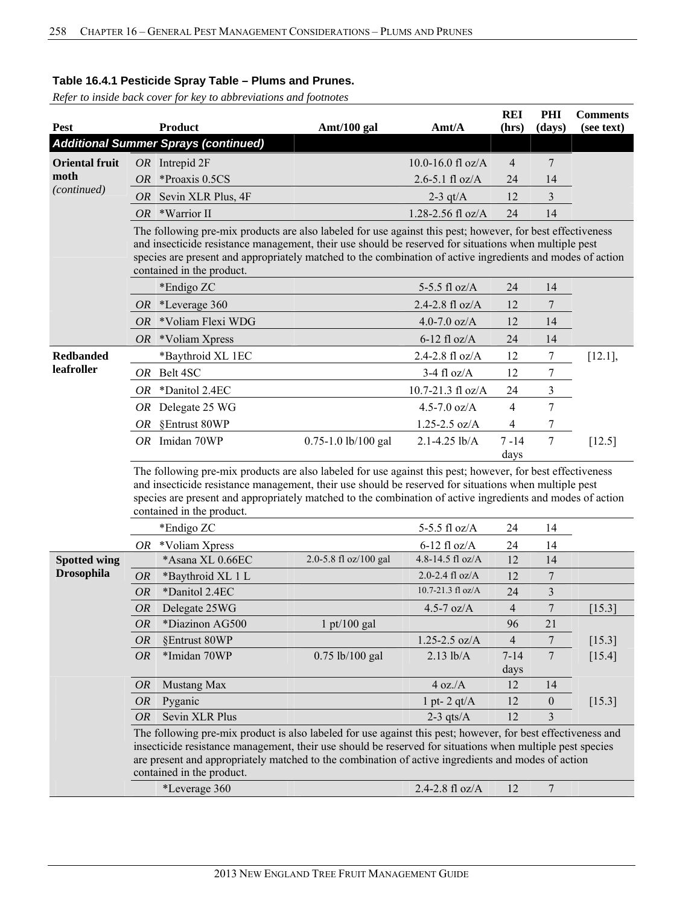*Refer to inside back cover for key to abbreviations and footnotes*

|                       |                                                                                                                                                                                                                                                                                                                                                              |                                                                                                                                                                                                                                                                                                                                                                |                       |                               | <b>REI</b>       | PHI            | <b>Comments</b> |  |
|-----------------------|--------------------------------------------------------------------------------------------------------------------------------------------------------------------------------------------------------------------------------------------------------------------------------------------------------------------------------------------------------------|----------------------------------------------------------------------------------------------------------------------------------------------------------------------------------------------------------------------------------------------------------------------------------------------------------------------------------------------------------------|-----------------------|-------------------------------|------------------|----------------|-----------------|--|
| <b>Pest</b>           |                                                                                                                                                                                                                                                                                                                                                              | <b>Product</b>                                                                                                                                                                                                                                                                                                                                                 | Amt/100 gal           | $\text{A}$ mt/ $\text{A}$     | (hrs)            | (days)         | (see text)      |  |
|                       |                                                                                                                                                                                                                                                                                                                                                              | <b>Additional Summer Sprays (continued)</b>                                                                                                                                                                                                                                                                                                                    |                       |                               |                  |                |                 |  |
| <b>Oriental fruit</b> |                                                                                                                                                                                                                                                                                                                                                              | $OR$ Intrepid $2F$                                                                                                                                                                                                                                                                                                                                             |                       | 10.0-16.0 fl oz/A             | $\overline{4}$   | 7              |                 |  |
| moth<br>(continued)   | <i>OR</i>                                                                                                                                                                                                                                                                                                                                                    | *Proaxis 0.5CS                                                                                                                                                                                                                                                                                                                                                 |                       | $2.6 - 5.1$ fl oz/A           | 24               | 14             |                 |  |
|                       | <i>OR</i>                                                                                                                                                                                                                                                                                                                                                    | Sevin XLR Plus, 4F                                                                                                                                                                                                                                                                                                                                             |                       | $2-3$ qt/A                    | 12               | 3              |                 |  |
|                       | <b>OR</b>                                                                                                                                                                                                                                                                                                                                                    | *Warrior II                                                                                                                                                                                                                                                                                                                                                    |                       | 1.28-2.56 fl oz/A             | 24               | 14             |                 |  |
|                       |                                                                                                                                                                                                                                                                                                                                                              | The following pre-mix products are also labeled for use against this pest; however, for best effectiveness<br>and insecticide resistance management, their use should be reserved for situations when multiple pest<br>species are present and appropriately matched to the combination of active ingredients and modes of action<br>contained in the product. |                       |                               |                  |                |                 |  |
|                       |                                                                                                                                                                                                                                                                                                                                                              | *Endigo ZC                                                                                                                                                                                                                                                                                                                                                     |                       | 5-5.5 fl $oz/A$               | 24               | 14             |                 |  |
|                       | OR                                                                                                                                                                                                                                                                                                                                                           | *Leverage 360                                                                                                                                                                                                                                                                                                                                                  |                       | $2.4 - 2.8$ fl oz/A           | 12               | 7              |                 |  |
|                       | <i>OR</i>                                                                                                                                                                                                                                                                                                                                                    | *Voliam Flexi WDG                                                                                                                                                                                                                                                                                                                                              |                       | 4.0-7.0 $oz/A$                | 12               | 14             |                 |  |
|                       |                                                                                                                                                                                                                                                                                                                                                              | $OR$ *Voliam Xpress                                                                                                                                                                                                                                                                                                                                            |                       | $6-12$ fl oz/A                | 24               | 14             |                 |  |
| <b>Redbanded</b>      |                                                                                                                                                                                                                                                                                                                                                              | *Baythroid XL 1EC                                                                                                                                                                                                                                                                                                                                              |                       | 2.4-2.8 fl oz/A               | 12               | 7              | $[12.1]$ ,      |  |
| leafroller            |                                                                                                                                                                                                                                                                                                                                                              | OR Belt 4SC                                                                                                                                                                                                                                                                                                                                                    |                       | $3-4$ fl oz/A                 | 12               | 7              |                 |  |
|                       | OR.                                                                                                                                                                                                                                                                                                                                                          | *Danitol 2.4EC                                                                                                                                                                                                                                                                                                                                                 |                       | $10.7 - 21.3 \text{ fl oz/A}$ | 24               | 3              |                 |  |
|                       |                                                                                                                                                                                                                                                                                                                                                              | OR Delegate 25 WG                                                                                                                                                                                                                                                                                                                                              |                       | 4.5-7.0 $oz/A$                | 4                | 7              |                 |  |
|                       |                                                                                                                                                                                                                                                                                                                                                              | OR §Entrust 80WP                                                                                                                                                                                                                                                                                                                                               |                       | $1.25 - 2.5$ oz/A             | 4                | 7              |                 |  |
|                       |                                                                                                                                                                                                                                                                                                                                                              | OR Imidan 70WP                                                                                                                                                                                                                                                                                                                                                 | 0.75-1.0 lb/100 gal   | $2.1 - 4.25$ lb/A             | $7 - 14$<br>days | 7              | [12.5]          |  |
|                       |                                                                                                                                                                                                                                                                                                                                                              | and insecticide resistance management, their use should be reserved for situations when multiple pest<br>species are present and appropriately matched to the combination of active ingredients and modes of action<br>contained in the product.                                                                                                               |                       |                               |                  |                |                 |  |
|                       |                                                                                                                                                                                                                                                                                                                                                              | *Endigo ZC                                                                                                                                                                                                                                                                                                                                                     |                       | 5-5.5 fl $oz/A$               | 24               | 14             |                 |  |
|                       |                                                                                                                                                                                                                                                                                                                                                              | $OR$ *Voliam Xpress                                                                                                                                                                                                                                                                                                                                            |                       | $6-12$ fl oz/A                | 24               | 14             |                 |  |
| <b>Spotted wing</b>   |                                                                                                                                                                                                                                                                                                                                                              | *Asana XL 0.66EC                                                                                                                                                                                                                                                                                                                                               | 2.0-5.8 fl oz/100 gal | 4.8-14.5 fl oz/A              | 12               | 14             |                 |  |
| <b>Drosophila</b>     | <i>OR</i>                                                                                                                                                                                                                                                                                                                                                    | *Baythroid XL 1 L                                                                                                                                                                                                                                                                                                                                              |                       | 2.0-2.4 $fl$ oz/A             | 12               | 7              |                 |  |
|                       | <b>OR</b>                                                                                                                                                                                                                                                                                                                                                    | *Danitol 2.4EC                                                                                                                                                                                                                                                                                                                                                 |                       | $10.7 - 21.3 \text{ fl oz/A}$ | 24               | 3              |                 |  |
|                       | <b>OR</b>                                                                                                                                                                                                                                                                                                                                                    | Delegate 25WG                                                                                                                                                                                                                                                                                                                                                  |                       | 4.5-7 $oz/A$                  | 4                | $\overline{7}$ | [15.3]          |  |
|                       | OR                                                                                                                                                                                                                                                                                                                                                           | *Diazinon AG500                                                                                                                                                                                                                                                                                                                                                | $1$ pt/100 gal        |                               | 96               | $21\,$         |                 |  |
|                       | <i>OR</i>                                                                                                                                                                                                                                                                                                                                                    | §Entrust 80WP                                                                                                                                                                                                                                                                                                                                                  |                       | $1.25 - 2.5$ oz/A             | 4                | 7              | $[15.3]$        |  |
|                       | <b>OR</b>                                                                                                                                                                                                                                                                                                                                                    | *Imidan 70WP                                                                                                                                                                                                                                                                                                                                                   | 0.75 lb/100 gal       | $2.13$ lb/A                   | $7 - 14$<br>days | $\overline{7}$ | $[15.4]$        |  |
|                       | <b>OR</b>                                                                                                                                                                                                                                                                                                                                                    | Mustang Max                                                                                                                                                                                                                                                                                                                                                    |                       | 4 oz.A                        | 12               | 14             |                 |  |
|                       | <b>OR</b>                                                                                                                                                                                                                                                                                                                                                    | Pyganic                                                                                                                                                                                                                                                                                                                                                        |                       | 1 pt- $2$ qt/ $A$             | 12               | $\theta$       | $[15.3]$        |  |
|                       | <i>OR</i>                                                                                                                                                                                                                                                                                                                                                    | <b>Sevin XLR Plus</b>                                                                                                                                                                                                                                                                                                                                          |                       | 2-3 qts/ $A$                  | 12               | 3              |                 |  |
|                       | The following pre-mix product is also labeled for use against this pest; however, for best effectiveness and<br>insecticide resistance management, their use should be reserved for situations when multiple pest species<br>are present and appropriately matched to the combination of active ingredients and modes of action<br>contained in the product. |                                                                                                                                                                                                                                                                                                                                                                |                       |                               |                  |                |                 |  |
|                       |                                                                                                                                                                                                                                                                                                                                                              | *Leverage 360                                                                                                                                                                                                                                                                                                                                                  |                       | 2.4-2.8 fl oz/A               | 12               | $\overline{7}$ |                 |  |
|                       |                                                                                                                                                                                                                                                                                                                                                              |                                                                                                                                                                                                                                                                                                                                                                |                       |                               |                  |                |                 |  |